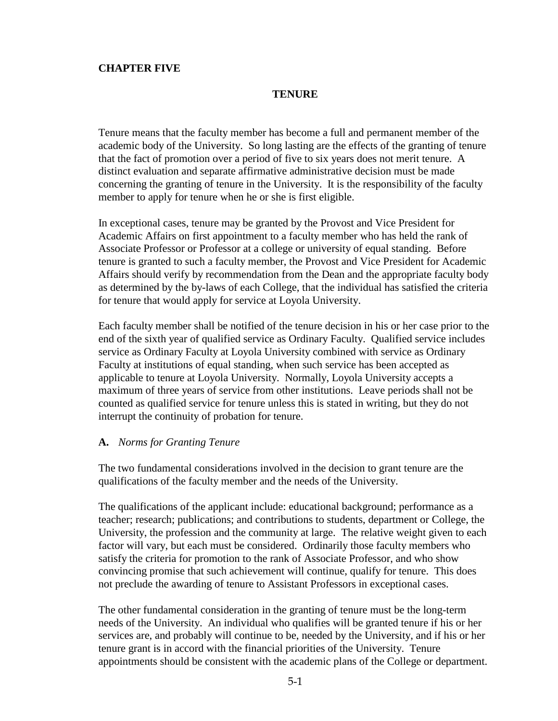## **CHAPTER FIVE**

## **TENURE**

Tenure means that the faculty member has become a full and permanent member of the academic body of the University. So long lasting are the effects of the granting of tenure that the fact of promotion over a period of five to six years does not merit tenure. A distinct evaluation and separate affirmative administrative decision must be made concerning the granting of tenure in the University. It is the responsibility of the faculty member to apply for tenure when he or she is first eligible.

In exceptional cases, tenure may be granted by the Provost and Vice President for Academic Affairs on first appointment to a faculty member who has held the rank of Associate Professor or Professor at a college or university of equal standing. Before tenure is granted to such a faculty member, the Provost and Vice President for Academic Affairs should verify by recommendation from the Dean and the appropriate faculty body as determined by the by-laws of each College, that the individual has satisfied the criteria for tenure that would apply for service at Loyola University.

Each faculty member shall be notified of the tenure decision in his or her case prior to the end of the sixth year of qualified service as Ordinary Faculty. Qualified service includes service as Ordinary Faculty at Loyola University combined with service as Ordinary Faculty at institutions of equal standing, when such service has been accepted as applicable to tenure at Loyola University. Normally, Loyola University accepts a maximum of three years of service from other institutions. Leave periods shall not be counted as qualified service for tenure unless this is stated in writing, but they do not interrupt the continuity of probation for tenure.

## **A.** *Norms for Granting Tenure*

The two fundamental considerations involved in the decision to grant tenure are the qualifications of the faculty member and the needs of the University.

The qualifications of the applicant include: educational background; performance as a teacher; research; publications; and contributions to students, department or College, the University, the profession and the community at large. The relative weight given to each factor will vary, but each must be considered. Ordinarily those faculty members who satisfy the criteria for promotion to the rank of Associate Professor, and who show convincing promise that such achievement will continue, qualify for tenure. This does not preclude the awarding of tenure to Assistant Professors in exceptional cases.

The other fundamental consideration in the granting of tenure must be the long-term needs of the University. An individual who qualifies will be granted tenure if his or her services are, and probably will continue to be, needed by the University, and if his or her tenure grant is in accord with the financial priorities of the University. Tenure appointments should be consistent with the academic plans of the College or department.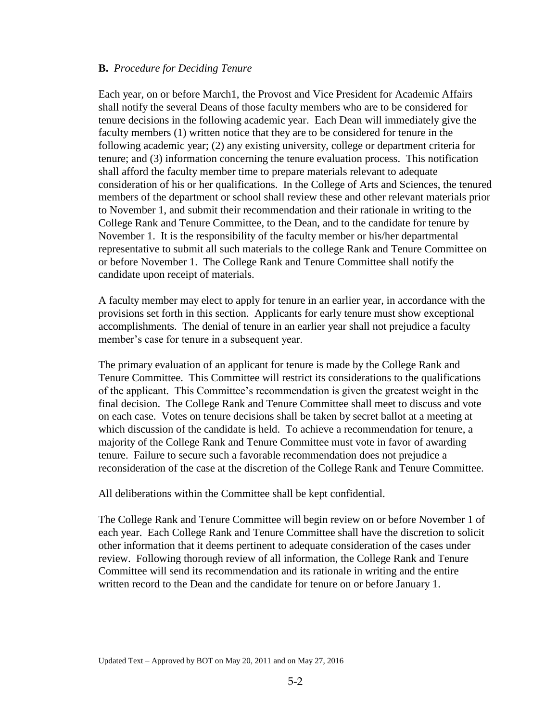## **B.** *Procedure for Deciding Tenure*

Each year, on or before March1, the Provost and Vice President for Academic Affairs shall notify the several Deans of those faculty members who are to be considered for tenure decisions in the following academic year. Each Dean will immediately give the faculty members (1) written notice that they are to be considered for tenure in the following academic year; (2) any existing university, college or department criteria for tenure; and (3) information concerning the tenure evaluation process. This notification shall afford the faculty member time to prepare materials relevant to adequate consideration of his or her qualifications. In the College of Arts and Sciences, the tenured members of the department or school shall review these and other relevant materials prior to November 1, and submit their recommendation and their rationale in writing to the College Rank and Tenure Committee, to the Dean, and to the candidate for tenure by November 1. It is the responsibility of the faculty member or his/her departmental representative to submit all such materials to the college Rank and Tenure Committee on or before November 1. The College Rank and Tenure Committee shall notify the candidate upon receipt of materials.

A faculty member may elect to apply for tenure in an earlier year, in accordance with the provisions set forth in this section. Applicants for early tenure must show exceptional accomplishments. The denial of tenure in an earlier year shall not prejudice a faculty member's case for tenure in a subsequent year.

The primary evaluation of an applicant for tenure is made by the College Rank and Tenure Committee. This Committee will restrict its considerations to the qualifications of the applicant. This Committee's recommendation is given the greatest weight in the final decision. The College Rank and Tenure Committee shall meet to discuss and vote on each case. Votes on tenure decisions shall be taken by secret ballot at a meeting at which discussion of the candidate is held. To achieve a recommendation for tenure, a majority of the College Rank and Tenure Committee must vote in favor of awarding tenure. Failure to secure such a favorable recommendation does not prejudice a reconsideration of the case at the discretion of the College Rank and Tenure Committee.

All deliberations within the Committee shall be kept confidential.

The College Rank and Tenure Committee will begin review on or before November 1 of each year. Each College Rank and Tenure Committee shall have the discretion to solicit other information that it deems pertinent to adequate consideration of the cases under review. Following thorough review of all information, the College Rank and Tenure Committee will send its recommendation and its rationale in writing and the entire written record to the Dean and the candidate for tenure on or before January 1.